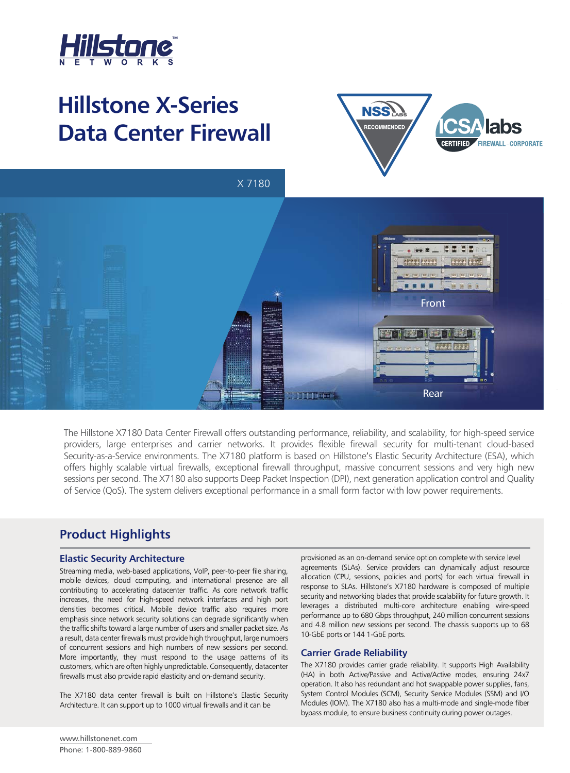

# **Hillstone X-Series Data Center Firewall**



X 7180



The Hillstone X7180 Data Center Firewall offers outstanding performance, reliability, and scalability, for high-speed service providers, large enterprises and carrier networks. It provides flexible firewall security for multi-tenant cloud-based Security-as-a-Service environments. The X7180 platform is based on Hillstone's Elastic Security Architecture (ESA), which offers highly scalable virtual firewalls, exceptional firewall throughput, massive concurrent sessions and very high new sessions per second. The X7180 also supports Deep Packet Inspection (DPI), next generation application control and Quality of Service (QoS). The system delivers exceptional performance in a small form factor with low power requirements.

# **Product Highlights**

### **Elastic Security Architecture**

Streaming media, web-based applications, VoIP, peer-to-peer file sharing, mobile devices, cloud computing, and international presence are all contributing to accelerating datacenter traffic. As core network traffic increases, the need for high-speed network interfaces and high port densities becomes critical. Mobile device traffic also requires more emphasis since network security solutions can degrade significantly when the traffic shifts toward a large number of users and smaller packet size. As a result, data center firewalls must provide high throughput, large numbers of concurrent sessions and high numbers of new sessions per second. More importantly, they must respond to the usage patterns of its customers, which are often highly unpredictable. Consequently, datacenter firewalls must also provide rapid elasticity and on-demand security.

The X7180 data center firewall is built on Hillstone's Elastic Security Architecture. It can support up to 1000 virtual firewalls and it can be

provisioned as an on-demand service option complete with service level agreements (SLAs). Service providers can dynamically adjust resource allocation (CPU, sessions, policies and ports) for each virtual firewall in response to SLAs. Hillstone's X7180 hardware is composed of multiple security and networking blades that provide scalability for future growth. It leverages a distributed multi-core architecture enabling wire-speed performance up to 680 Gbps throughput, 240 million concurrent sessions and 4.8 million new sessions per second. The chassis supports up to 68 10-GbE ports or 144 1-GbE ports.

#### **Carrier Grade Reliability**

The X7180 provides carrier grade reliability. It supports High Availability (HA) in both Active/Passive and Active/Active modes, ensuring 24x7 operation. It also has redundant and hot swappable power supplies, fans, System Control Modules (SCM), Security Service Modules (SSM) and I/O Modules (IOM). The X7180 also has a multi-mode and single-mode fiber bypass module, to ensure business continuity during power outages.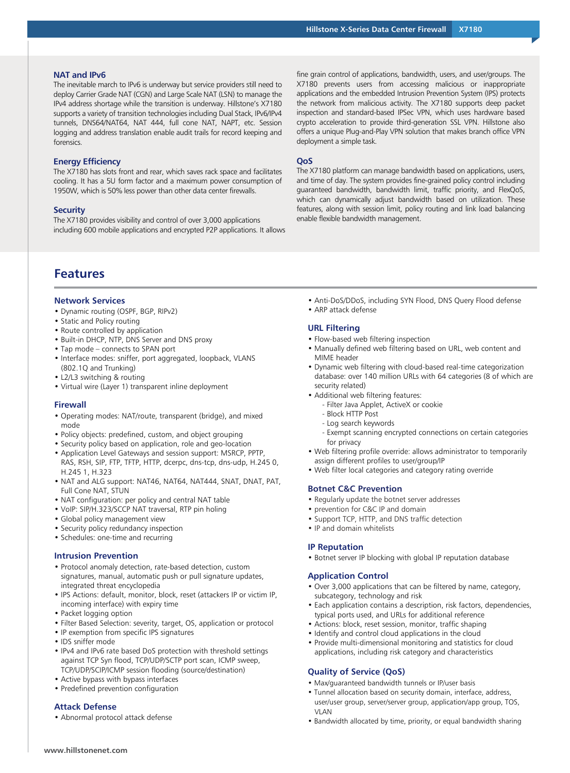#### **NAT and IPv6**

The inevitable march to IPv6 is underway but service providers still need to deploy Carrier Grade NAT (CGN) and Large Scale NAT (LSN) to manage the IPv4 address shortage while the transition is underway. Hillstone's X7180 supports a variety of transition technologies including Dual Stack, IPv6/IPv4 tunnels, DNS64/NAT64, NAT 444, full cone NAT, NAPT, etc. Session logging and address translation enable audit trails for record keeping and forensics.

#### **Energy Efficiency**

The X7180 has slots front and rear, which saves rack space and facilitates cooling. It has a 5U form factor and a maximum power consumption of 1950W, which is 50% less power than other data center firewalls.

#### **Security**

The X7180 provides visibility and control of over 3,000 applications including 600 mobile applications and encrypted P2P applications. It allows fine grain control of applications, bandwidth, users, and user/groups. The X7180 prevents users from accessing malicious or inappropriate applications and the embedded Intrusion Prevention System (IPS) protects the network from malicious activity. The X7180 supports deep packet inspection and standard-based IPSec VPN, which uses hardware based crypto acceleration to provide third-generation SSL VPN. Hillstone also offers a unique Plug-and-Play VPN solution that makes branch office VPN deployment a simple task.

#### **QoS**

The X7180 platform can manage bandwidth based on applications, users, and time of day. The system provides fine-grained policy control including guaranteed bandwidth, bandwidth limit, traffic priority, and FlexQoS, which can dynamically adjust bandwidth based on utilization. These features, along with session limit, policy routing and link load balancing enable flexible bandwidth management.

# **Features**

#### **Network Services**

- Dynamic routing (OSPF, BGP, RIPv2)
- Static and Policy routing
- Route controlled by application
- Built-in DHCP, NTP, DNS Server and DNS proxy
- Tap mode connects to SPAN port
- Interface modes: sniffer, port aggregated, loopback, VLANS (802.1Q and Trunking)
- L2/L3 switching & routing
- Virtual wire (Layer 1) transparent inline deployment

#### **Firewall**

- Operating modes: NAT/route, transparent (bridge), and mixed mode
- Policy objects: predefined, custom, and object grouping
- Security policy based on application, role and geo-location
- Application Level Gateways and session support: MSRCP, PPTP, RAS, RSH, SIP, FTP, TFTP, HTTP, dcerpc, dns-tcp, dns-udp, H.245 0, H.245 1, H.323
- NAT and ALG support: NAT46, NAT64, NAT444, SNAT, DNAT, PAT, Full Cone NAT, STUN
- NAT configuration: per policy and central NAT table
- VoIP: SIP/H.323/SCCP NAT traversal, RTP pin holing
- Global policy management view
- Security policy redundancy inspection
- Schedules: one-time and recurring

#### **Intrusion Prevention**

- Protocol anomaly detection, rate-based detection, custom signatures, manual, automatic push or pull signature updates, integrated threat encyclopedia
- IPS Actions: default, monitor, block, reset (attackers IP or victim IP, incoming interface) with expiry time
- Packet logging option
- Filter Based Selection: severity, target, OS, application or protocol
- IP exemption from specific IPS signatures
- IDS sniffer mode
- IPv4 and IPv6 rate based DoS protection with threshold settings against TCP Syn flood, TCP/UDP/SCTP port scan, ICMP sweep, TCP/UDP/SCIP/ICMP session flooding (source/destination)
- Active bypass with bypass interfaces
- Predefined prevention configuration

#### **Attack Defense**

• Abnormal protocol attack defense

- Anti-DoS/DDoS, including SYN Flood, DNS Query Flood defense
- ARP attack defense

#### **URL Filtering**

- Flow-based web filtering inspection
- Manually defined web filtering based on URL, web content and MIME header
- Dynamic web filtering with cloud-based real-time categorization database: over 140 million URLs with 64 categories (8 of which are security related)
- Additional web filtering features:
	- Filter Java Applet, ActiveX or cookie
	- Block HTTP Post
	- Log search keywords
	- Exempt scanning encrypted connections on certain categories for privacy
- Web filtering profile override: allows administrator to temporarily assign different profiles to user/group/IP
- Web filter local categories and category rating override

#### **Botnet C&C Prevention**

- Regularly update the botnet server addresses
- prevention for C&C IP and domain
- Support TCP, HTTP, and DNS traffic detection
- IP and domain whitelists

#### **IP Reputation**

• Botnet server IP blocking with global IP reputation database

## **Application Control**

- Over 3,000 applications that can be filtered by name, category, subcategory, technology and risk
- Each application contains a description, risk factors, dependencies, typical ports used, and URLs for additional reference
- Actions: block, reset session, monitor, traffic shaping
- Identify and control cloud applications in the cloud
- Provide multi-dimensional monitoring and statistics for cloud applications, including risk category and characteristics

#### **Quality of Service (QoS)**

- Max/guaranteed bandwidth tunnels or IP/user basis
- Tunnel allocation based on security domain, interface, address, user/user group, server/server group, application/app group, TOS, **VIAN**
- Bandwidth allocated by time, priority, or equal bandwidth sharing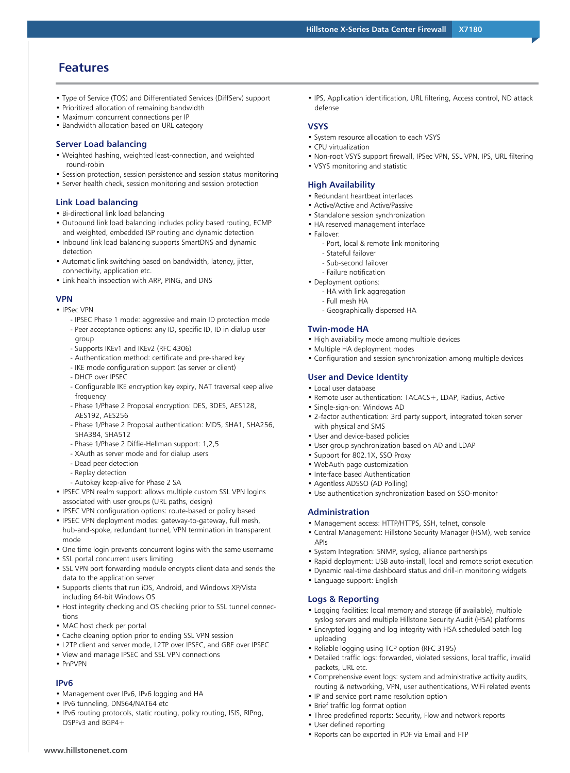## **Features**

- Type of Service (TOS) and Differentiated Services (DiffServ) support
- Prioritized allocation of remaining bandwidth
- Maximum concurrent connections per IP
- Bandwidth allocation based on URL category

#### **Server Load balancing**

- Weighted hashing, weighted least-connection, and weighted round-robin
- Session protection, session persistence and session status monitoring
- Server health check, session monitoring and session protection

#### **Link Load balancing**

- Bi-directional link load balancing
- Outbound link load balancing includes policy based routing, ECMP and weighted, embedded ISP routing and dynamic detection
- Inbound link load balancing supports SmartDNS and dynamic detection
- Automatic link switching based on bandwidth, latency, jitter, connectivity, application etc.
- Link health inspection with ARP, PING, and DNS

#### **VPN**

- IPSec VPN
	- IPSEC Phase 1 mode: aggressive and main ID protection mode - Peer acceptance options: any ID, specific ID, ID in dialup user group
	- Supports IKEv1 and IKEv2 (RFC 4306)
	- Authentication method: certificate and pre-shared key
	- IKE mode configuration support (as server or client)
	- DHCP over IPSEC
	- Configurable IKE encryption key expiry, NAT traversal keep alive frequency
	- Phase 1/Phase 2 Proposal encryption: DES, 3DES, AES128, AES192, AES256
	- Phase 1/Phase 2 Proposal authentication: MD5, SHA1, SHA256, SHA384, SHA512
	- Phase 1/Phase 2 Diffie-Hellman support: 1,2,5
	- XAuth as server mode and for dialup users
	- Dead peer detection
	- Replay detection
	- Autokey keep-alive for Phase 2 SA
- IPSEC VPN realm support: allows multiple custom SSL VPN logins associated with user groups (URL paths, design)
- IPSEC VPN configuration options: route-based or policy based
- IPSEC VPN deployment modes: gateway-to-gateway, full mesh, hub-and-spoke, redundant tunnel, VPN termination in transparent mode
- One time login prevents concurrent logins with the same username
- SSL portal concurrent users limiting
- SSL VPN port forwarding module encrypts client data and sends the data to the application server
- Supports clients that run iOS, Android, and Windows XP/Vista including 64-bit Windows OS
- Host integrity checking and OS checking prior to SSL tunnel connections
- MAC host check per portal
- Cache cleaning option prior to ending SSL VPN session
- L2TP client and server mode, L2TP over IPSEC, and GRE over IPSEC
- View and manage IPSEC and SSL VPN connections
- PnPVPN

**www.hillstonenet.com**

#### **IPv6**

- Management over IPv6, IPv6 logging and HA
- IPv6 tunneling, DNS64/NAT64 etc
- IPv6 routing protocols, static routing, policy routing, ISIS, RIPng, OSPFv3 and BGP4+

• IPS, Application identification, URL filtering, Access control, ND attack defense

#### **VSYS**

- System resource allocation to each VSYS
- CPU virtualization
- Non-root VSYS support firewall, IPSec VPN, SSL VPN, IPS, URL filtering
- VSYS monitoring and statistic

#### **High Availability**

- Redundant heartbeat interfaces
- Active/Active and Active/Passive
- Standalone session synchronization
- HA reserved management interface
- Failover:
	- Port, local & remote link monitoring
	- Stateful failover
	- Sub-second failover
	- Failure notification
- Deployment options:
	- HA with link aggregation
	- Full mesh HA - Geographically dispersed HA

## **Twin-mode HA**

- High availability mode among multiple devices
- Multiple HA deployment modes
- Configuration and session synchronization among multiple devices

#### **User and Device Identity**

- Local user database
- Remote user authentication: TACACS+, LDAP, Radius, Active
- Single-sign-on: Windows AD
- 2-factor authentication: 3rd party support, integrated token server with physical and SMS
- User and device-based policies
- User group synchronization based on AD and LDAP
- Support for 802.1X, SSO Proxy
- WebAuth page customization
- Interface based Authentication
- Agentless ADSSO (AD Polling)
- Use authentication synchronization based on SSO-monitor

#### **Administration**

- Management access: HTTP/HTTPS, SSH, telnet, console
- Central Management: Hillstone Security Manager (HSM), web service APIs
- System Integration: SNMP, syslog, alliance partnerships
- Rapid deployment: USB auto-install, local and remote script execution
- Dynamic real-time dashboard status and drill-in monitoring widgets
- Language support: English

#### **Logs & Reporting**

- Logging facilities: local memory and storage (if available), multiple syslog servers and multiple Hillstone Security Audit (HSA) platforms
- Encrypted logging and log integrity with HSA scheduled batch log uploading
- Reliable logging using TCP option (RFC 3195)
- Detailed traffic logs: forwarded, violated sessions, local traffic, invalid packets, URL etc.
- Comprehensive event logs: system and administrative activity audits, routing & networking, VPN, user authentications, WiFi related events
- IP and service port name resolution option

• Reports can be exported in PDF via Email and FTP

- Brief traffic log format option
- Three predefined reports: Security, Flow and network reports
- User defined reporting